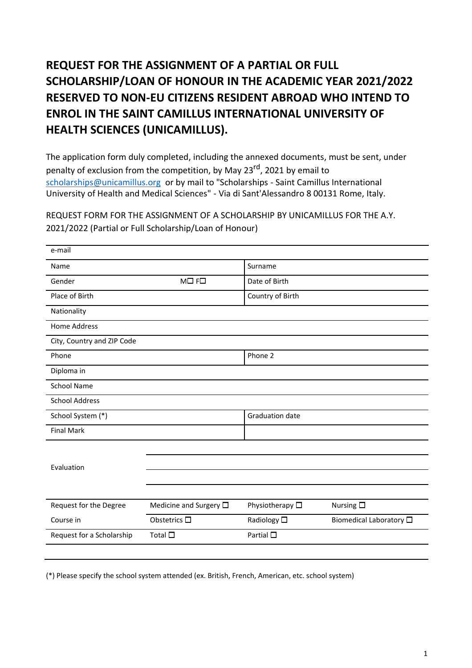## **REQUEST FOR THE ASSIGNMENT OF A PARTIAL OR FULL SCHOLARSHIP/LOAN OF HONOUR IN THE ACADEMIC YEAR 2021/2022 RESERVED TO NON-EU CITIZENS RESIDENT ABROAD WHO INTEND TO ENROL IN THE SAINT CAMILLUS INTERNATIONAL UNIVERSITY OF HEALTH SCIENCES (UNICAMILLUS).**

The application form duly completed, including the annexed documents, must be sent, under penalty of exclusion from the competition, by May 23<sup>rd</sup>, 2021 by email to [scholarships@unicamillus.org](mailto:scholarships@unicamillus.org) or by mail to "Scholarships - Saint Camillus International University of Health and Medical Sciences" - Via di Sant'Alessandro 8 00131 Rome, Italy.

REQUEST FORM FOR THE ASSIGNMENT OF A SCHOLARSHIP BY UNICAMILLUS FOR THE A.Y. 2021/2022 (Partial or Full Scholarship/Loan of Honour)

| e-mail                     |                                |                         |                                 |
|----------------------------|--------------------------------|-------------------------|---------------------------------|
| Name                       |                                | Surname                 |                                 |
| Gender                     | $MD$ F $\square$               | Date of Birth           |                                 |
| Place of Birth             |                                | Country of Birth        |                                 |
| Nationality                |                                |                         |                                 |
| Home Address               |                                |                         |                                 |
| City, Country and ZIP Code |                                |                         |                                 |
| Phone                      |                                | Phone 2                 |                                 |
| Diploma in                 |                                |                         |                                 |
| <b>School Name</b>         |                                |                         |                                 |
| <b>School Address</b>      |                                |                         |                                 |
| School System (*)          |                                | Graduation date         |                                 |
| <b>Final Mark</b>          |                                |                         |                                 |
|                            |                                |                         |                                 |
| Evaluation                 |                                |                         |                                 |
|                            |                                |                         |                                 |
|                            |                                |                         |                                 |
| Request for the Degree     | Medicine and Surgery $\square$ | Physiotherapy $\square$ | Nursing $\square$               |
| Course in                  | Obstetrics $\square$           | Radiology $\square$     | Biomedical Laboratory $\square$ |
| Request for a Scholarship  | Total $\square$                | Partial $\square$       |                                 |

(\*) Please specify the school system attended (ex. British, French, American, etc. school system)